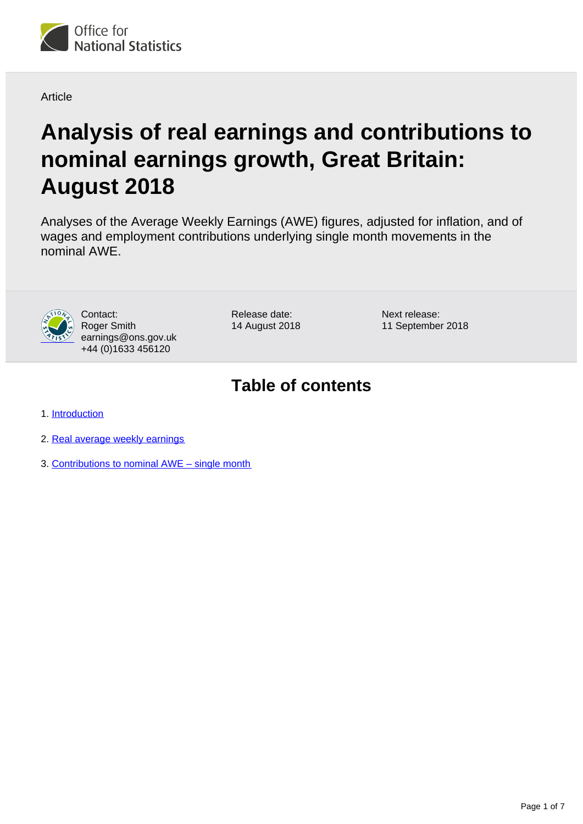

**Article** 

# **Analysis of real earnings and contributions to nominal earnings growth, Great Britain: August 2018**

Analyses of the Average Weekly Earnings (AWE) figures, adjusted for inflation, and of wages and employment contributions underlying single month movements in the nominal AWE.



Contact: Roger Smith earnings@ons.gov.uk +44 (0)1633 456120

Release date: 14 August 2018 Next release: 11 September 2018

# **Table of contents**

- 1. [Introduction](#page-1-0)
- 2. [Real average weekly earnings](#page-1-1)
- 3. [Contributions to nominal AWE single month](#page-4-0)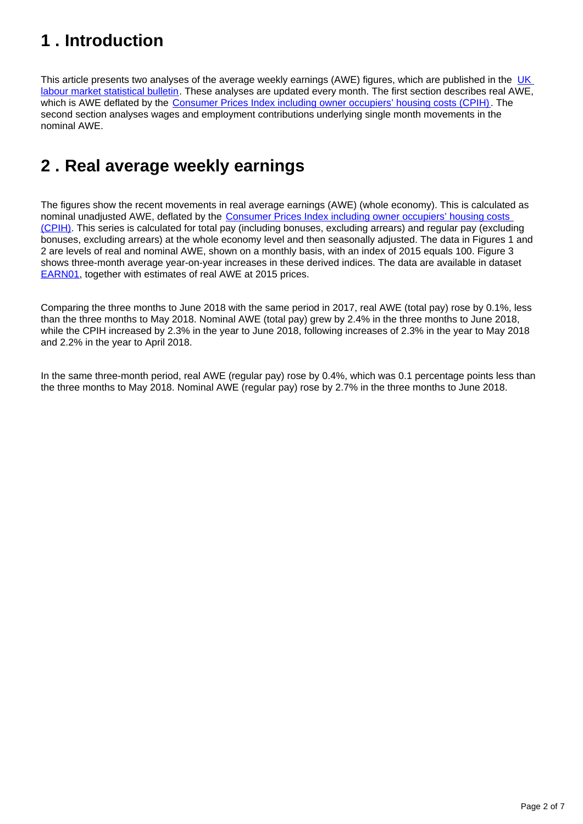# <span id="page-1-0"></span>**1 . Introduction**

This article presents two analyses of the average weekly earnings (AWE) figures, which are published in the UK [labour market statistical bulletin](https://www.ons.gov.uk/employmentandlabourmarket/peopleinwork/employmentandemployeetypes/bulletins/uklabourmarket/previousReleases). These analyses are updated every month. The first section describes real AWE, which is AWE deflated by the [Consumer Prices Index including owner occupiers' housing costs \(CPIH\)](https://www.ons.gov.uk/economy/inflationandpriceindices/bulletins/consumerpriceinflation/previousReleases). The second section analyses wages and employment contributions underlying single month movements in the nominal AWE.

# <span id="page-1-1"></span>**2 . Real average weekly earnings**

The figures show the recent movements in real average earnings (AWE) (whole economy). This is calculated as nominal unadjusted AWE, deflated by the [Consumer Prices Index including owner occupiers' housing costs](https://www.ons.gov.uk/economy/inflationandpriceindices/bulletins/consumerpriceinflation/previousReleases)  [\(CPIH\).](https://www.ons.gov.uk/economy/inflationandpriceindices/bulletins/consumerpriceinflation/previousReleases) This series is calculated for total pay (including bonuses, excluding arrears) and regular pay (excluding bonuses, excluding arrears) at the whole economy level and then seasonally adjusted. The data in Figures 1 and 2 are levels of real and nominal AWE, shown on a monthly basis, with an index of 2015 equals 100. Figure 3 shows three-month average year-on-year increases in these derived indices. The data are available in dataset [EARN01](https://www.ons.gov.uk/employmentandlabourmarket/peopleinwork/earningsandworkinghours/datasets/averageweeklyearningsearn01), together with estimates of real AWE at 2015 prices.

Comparing the three months to June 2018 with the same period in 2017, real AWE (total pay) rose by 0.1%, less than the three months to May 2018. Nominal AWE (total pay) grew by 2.4% in the three months to June 2018, while the CPIH increased by 2.3% in the year to June 2018, following increases of 2.3% in the year to May 2018 and 2.2% in the year to April 2018.

In the same three-month period, real AWE (regular pay) rose by 0.4%, which was 0.1 percentage points less than the three months to May 2018. Nominal AWE (regular pay) rose by 2.7% in the three months to June 2018.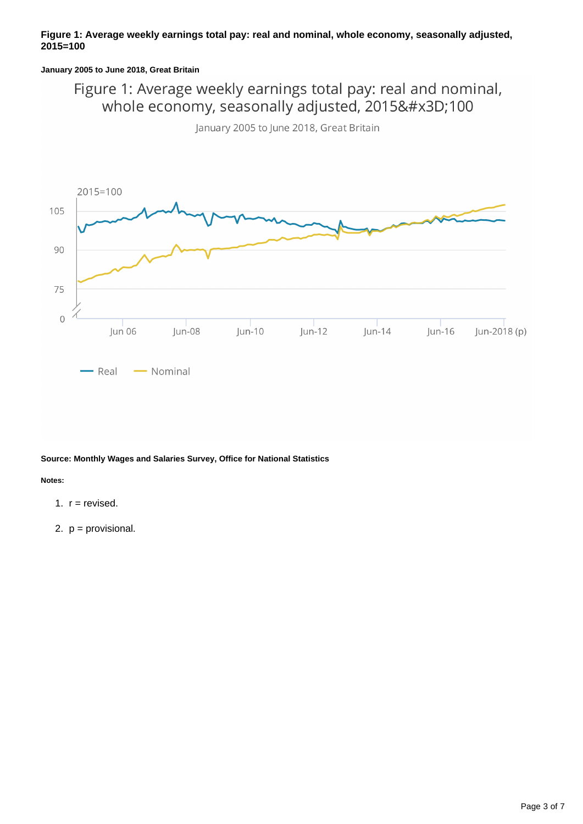#### **Figure 1: Average weekly earnings total pay: real and nominal, whole economy, seasonally adjusted, 2015=100**

#### **January 2005 to June 2018, Great Britain**

### Figure 1: Average weekly earnings total pay: real and nominal, whole economy, seasonally adjusted, 2015=100





#### **Source: Monthly Wages and Salaries Survey, Office for National Statistics**

**Notes:**

- 1.  $r =$  revised.
- 2. p = provisional.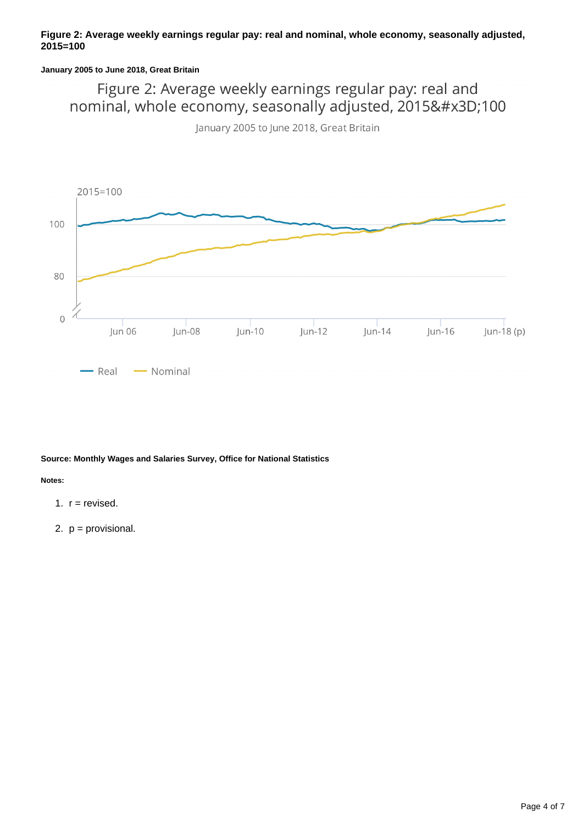#### **January 2005 to June 2018, Great Britain**

Figure 2: Average weekly earnings regular pay: real and nominal, whole economy, seasonally adjusted, 2015=100

January 2005 to June 2018, Great Britain



#### **Source: Monthly Wages and Salaries Survey, Office for National Statistics**

**Notes:**

- 1.  $r =$  revised.
- 2. p = provisional.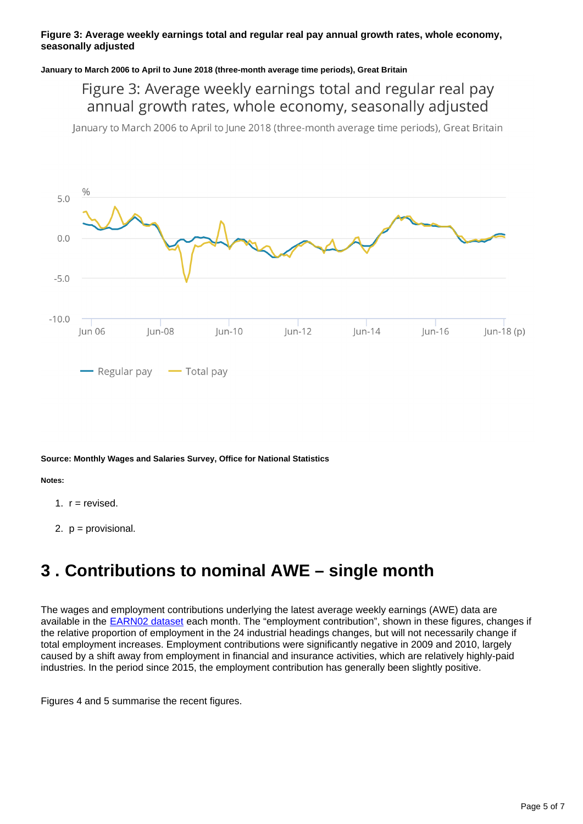#### **Figure 3: Average weekly earnings total and regular real pay annual growth rates, whole economy, seasonally adjusted**

#### **January to March 2006 to April to June 2018 (three-month average time periods), Great Britain**

### Figure 3: Average weekly earnings total and regular real pay annual growth rates, whole economy, seasonally adjusted

January to March 2006 to April to June 2018 (three-month average time periods), Great Britain



#### **Source: Monthly Wages and Salaries Survey, Office for National Statistics**

#### **Notes:**

- 1.  $r =$  revised.
- 2. p = provisional.

## <span id="page-4-0"></span>**3 . Contributions to nominal AWE – single month**

The wages and employment contributions underlying the latest average weekly earnings (AWE) data are available in the **EARN02 dataset** each month. The "employment contribution", shown in these figures, changes if the relative proportion of employment in the 24 industrial headings changes, but will not necessarily change if total employment increases. Employment contributions were significantly negative in 2009 and 2010, largely caused by a shift away from employment in financial and insurance activities, which are relatively highly-paid industries. In the period since 2015, the employment contribution has generally been slightly positive.

Figures 4 and 5 summarise the recent figures.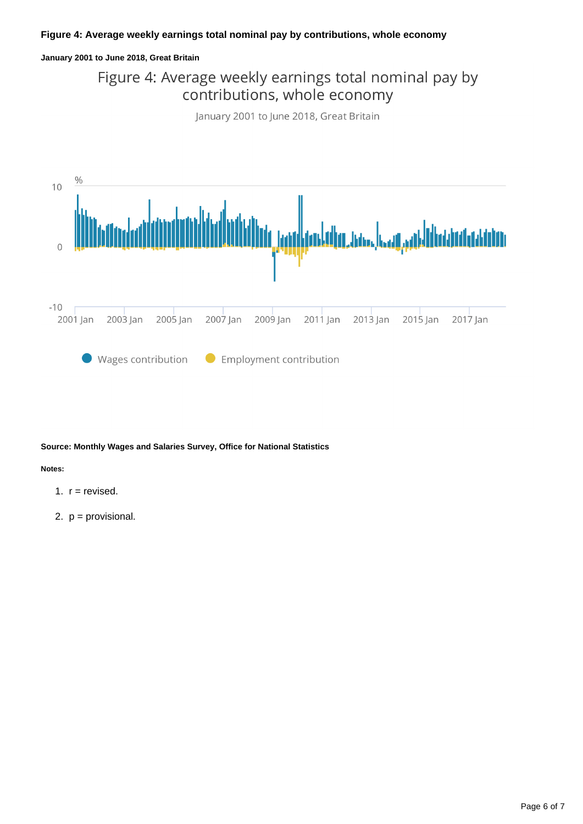#### **January 2001 to June 2018, Great Britain**

### Figure 4: Average weekly earnings total nominal pay by contributions, whole economy





#### **Source: Monthly Wages and Salaries Survey, Office for National Statistics**

#### **Notes:**

- 1.  $r =$  revised.
- 2. p = provisional.